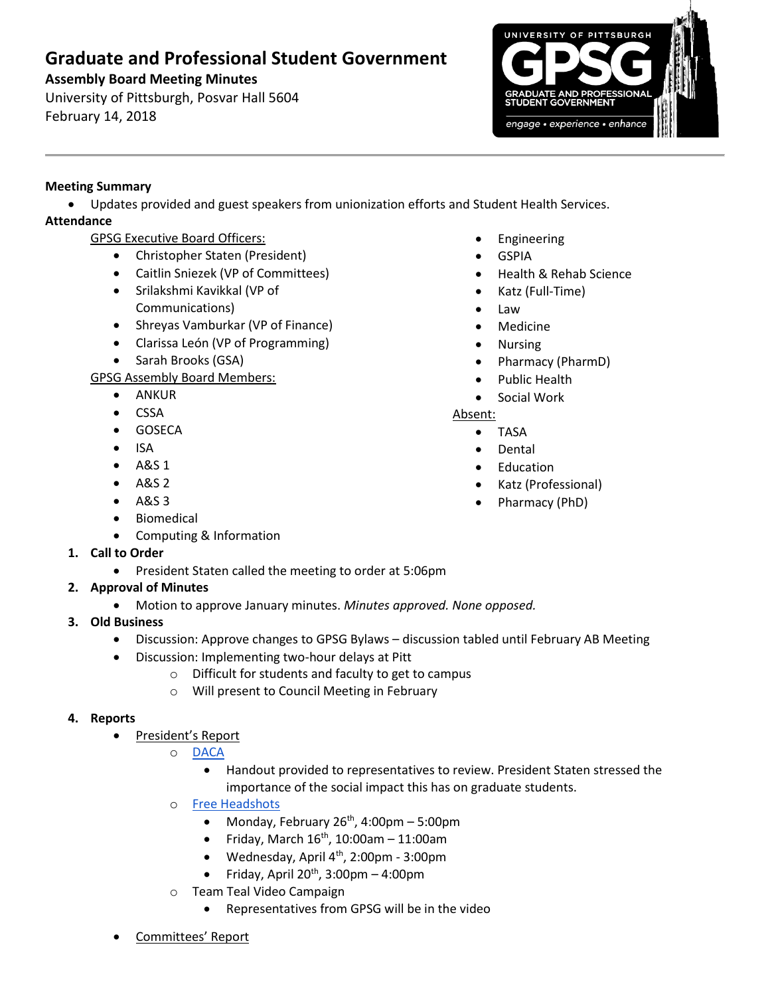# **Graduate and Professional Student Government**

## **Assembly Board Meeting Minutes**

University of Pittsburgh, Posvar Hall 5604 February 14, 2018



### **Meeting Summary**

 Updates provided and guest speakers from unionization efforts and Student Health Services. **Attendance**

- GPSG Executive Board Officers:
	- Christopher Staten (President)
	- Caitlin Sniezek (VP of Committees)
	- Srilakshmi Kavikkal (VP of Communications)
	- Shreyas Vamburkar (VP of Finance)
	- Clarissa León (VP of Programming)
	- Sarah Brooks (GSA)

GPSG Assembly Board Members:

- ANKUR
- CSSA
- GOSECA
- ISA
- $-$  A&S 1
- $-$  A&S 2
- $\bullet$  A&S 3
- **•** Biomedical
- Computing & Information
- **1. Call to Order**
	- President Staten called the meeting to order at 5:06pm
- **2. Approval of Minutes** 
	- Motion to approve January minutes. *Minutes approved. None opposed.*
- **3. Old Business**
	- Discussion: Approve changes to GPSG Bylaws discussion tabled until February AB Meeting
	- Discussion: Implementing two-hour delays at Pitt
		- o Difficult for students and faculty to get to campus
		- o Will present to Council Meeting in February

### **4. Reports**

- President's Report
	- o [DACA](https://drive.google.com/open?id=1__zoIuEfpTjai-p1kEyN5Pbl8qsyiZop)
		- Handout provided to representatives to review. President Staten stressed the importance of the social impact this has on graduate students.
	- o [Free Headshots](https://www.facebook.com/PITTGPSG/photos/a.610137685671610.1073741828.597138070304905/1837590479592985/?type=3&theater)
		- Monday, February  $26^{th}$ , 4:00pm 5:00pm
		- Friday, March  $16^{th}$ , 10:00am 11:00am
		- Wednesday, April  $4<sup>th</sup>$ , 2:00pm 3:00pm
		- Friday, April  $20^{th}$ , 3:00pm 4:00pm
	- Team Teal Video Campaign
		- Representatives from GPSG will be in the video
- Committees' Report
- Engineering
- GSPIA
- Health & Rehab Science
- Katz (Full-Time)
- Law
	- Medicine
- Nursing
- Pharmacy (PharmD)
- Public Health
- Social Work

#### Absent:

- TASA
- Dental
- Education
- Katz (Professional)
- Pharmacy (PhD)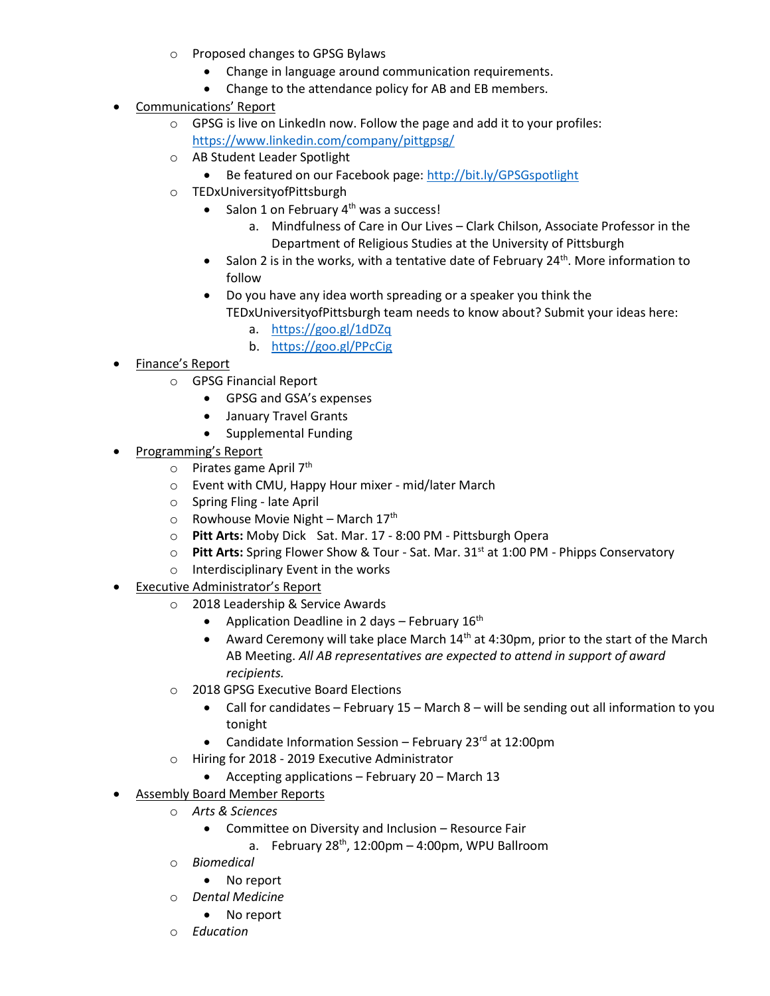- o Proposed changes to GPSG Bylaws
	- Change in language around communication requirements.
	- Change to the attendance policy for AB and EB members.
- Communications' Report
	- o GPSG is live on LinkedIn now. Follow the page and add it to your profiles: <https://www.linkedin.com/company/pittgpsg/>
	- o AB Student Leader Spotlight
		- Be featured on our Facebook page[: http://bit.ly/GPSGspotlight](http://bit.ly/GPSGspotlight)
	- o TEDxUniversityofPittsburgh
		- Salon 1 on February  $4<sup>th</sup>$  was a success!
			- a. Mindfulness of Care in Our Lives Clark Chilson, Associate Professor in the Department of Religious Studies at the University of Pittsburgh
		- Salon 2 is in the works, with a tentative date of February  $24^{\text{th}}$ . More information to follow
		- Do you have any idea worth spreading or a speaker you think the TEDxUniversityofPittsburgh team needs to know about? Submit your ideas here:
			- a. <https://goo.gl/1dDZq>
			- b. <https://goo.gl/PPcCig>
- Finance's Report
	- o GPSG Financial Report
		- GPSG and GSA's expenses
		- January Travel Grants
		- Supplemental Funding
- Programming's Report
	- o Pirates game April 7<sup>th</sup>
	- o Event with CMU, Happy Hour mixer mid/later March
	- o Spring Fling late April
	- $\circ$  Rowhouse Movie Night March 17<sup>th</sup>
	- o **Pitt Arts:** Moby Dick Sat. Mar. 17 8:00 PM Pittsburgh Opera
	- o **Pitt Arts:** Spring Flower Show & Tour Sat. Mar. 31st at 1:00 PM Phipps Conservatory
	- o Interdisciplinary Event in the works
- Executive Administrator's Report
	- o 2018 Leadership & Service Awards
		- Application Deadline in 2 days February  $16<sup>th</sup>$
		- Award Ceremony will take place March 14<sup>th</sup> at 4:30pm, prior to the start of the March AB Meeting. *All AB representatives are expected to attend in support of award recipients.*
	- 2018 GPSG Executive Board Elections
		- Call for candidates February  $15 -$  March  $8 -$  will be sending out all information to you tonight
		- Candidate Information Session February 23 $rd$  at 12:00pm
	- o Hiring for 2018 2019 Executive Administrator
		- Accepting applications February  $20$  March 13
- Assembly Board Member Reports
	- o *Arts & Sciences*
		- Committee on Diversity and Inclusion Resource Fair
			- a. February  $28<sup>th</sup>$ , 12:00pm 4:00pm, WPU Ballroom
	- o *Biomedical*
		- No report
	- o *Dental Medicine*
		- No report
	- o *Education*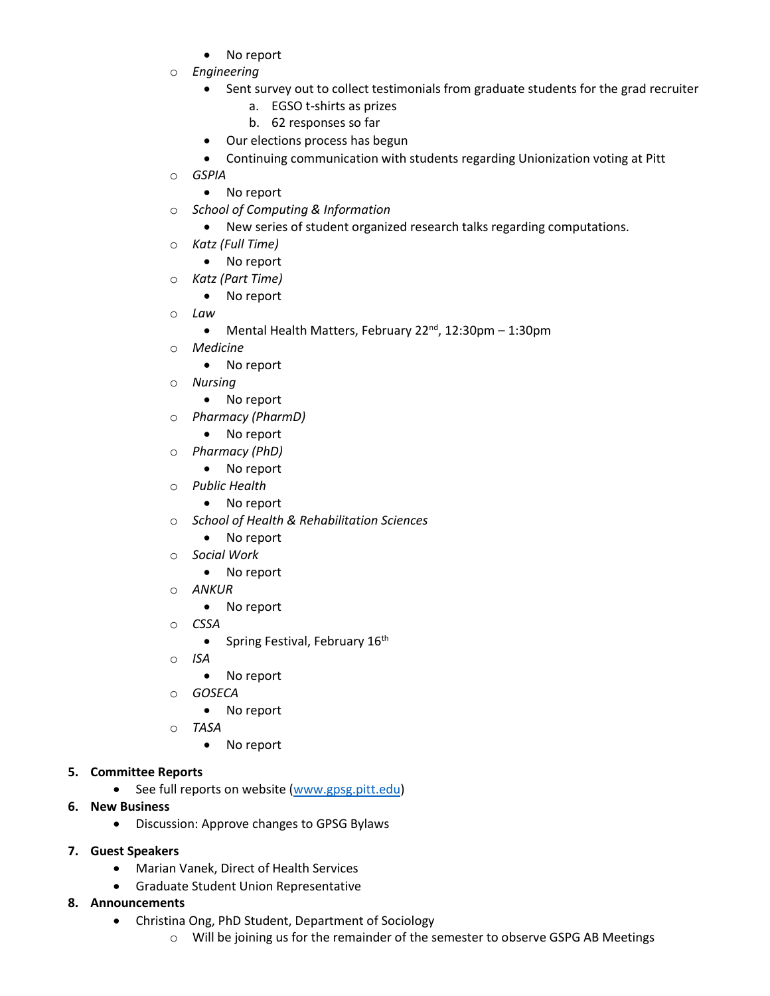- No report
- o *Engineering*
	- Sent survey out to collect testimonials from graduate students for the grad recruiter
		- a. EGSO t-shirts as prizes
		- b. 62 responses so far
	- Our elections process has begun
	- Continuing communication with students regarding Unionization voting at Pitt
- o *GSPIA*
	- No report
- o *School of Computing & Information*
	- New series of student organized research talks regarding computations.
- o *Katz (Full Time)*
	- No report
- o *Katz (Part Time)*
	- No report
- o *Law*
	- Mental Health Matters, February  $22^{nd}$ ,  $12:30$ pm  $1:30$ pm
- o *Medicine*
	- No report
- o *Nursing* 
	- No report
- o *Pharmacy (PharmD)*
	- No report
- o *Pharmacy (PhD)*
	- No report
- o *Public Health*
	- No report
- o *School of Health & Rehabilitation Sciences*
	- No report
- o *Social Work*
	- No report
- o *ANKUR* 
	- No report
- o *CSSA* 
	- Spring Festival, February  $16<sup>th</sup>$
- o *ISA* 
	- No report
- o *GOSECA*
	- No report
- o *TASA*
	- No report

#### **5. Committee Reports**

- See full reports on website [\(www.gpsg.pitt.edu\)](http://www.gpsg.pitt.edu/)
- **6. New Business**
	- Discussion: Approve changes to GPSG Bylaws
- **7. Guest Speakers**
	- Marian Vanek, Direct of Health Services
	- Graduate Student Union Representative
- **8. Announcements** 
	- Christina Ong, PhD Student, Department of Sociology
		- o Will be joining us for the remainder of the semester to observe GSPG AB Meetings